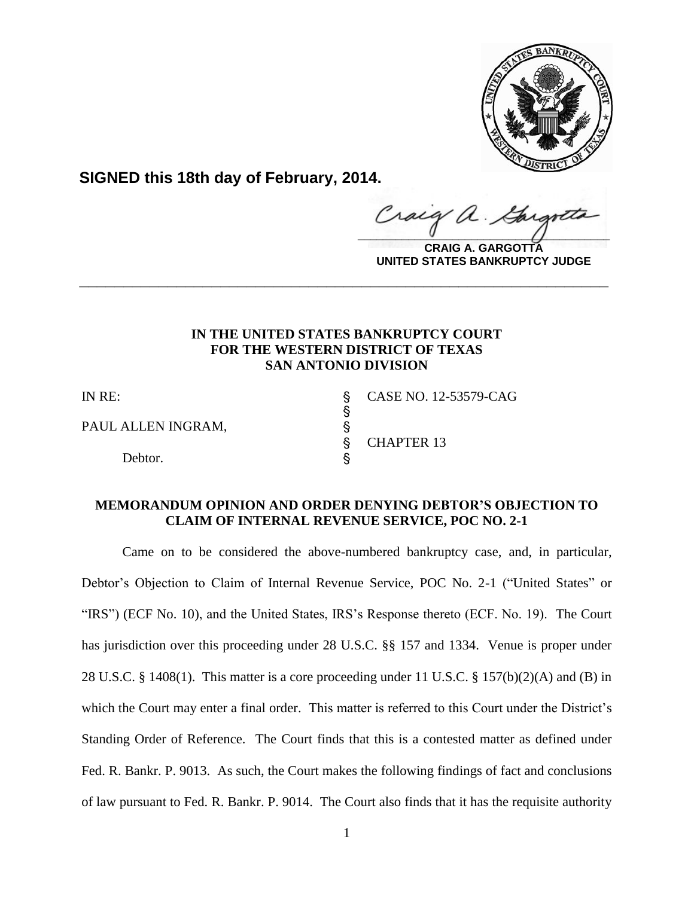

**SIGNED this 18th day of February, 2014.**

 $\frac{1}{2}$ 

**CRAIG A. GARGOTTA UNITED STATES BANKRUPTCY JUDGE**

# **IN THE UNITED STATES BANKRUPTCY COURT FOR THE WESTERN DISTRICT OF TEXAS SAN ANTONIO DIVISION**

**\_\_\_\_\_\_\_\_\_\_\_\_\_\_\_\_\_\_\_\_\_\_\_\_\_\_\_\_\_\_\_\_\_\_\_\_\_\_\_\_\_\_\_\_\_\_\_\_\_\_\_\_\_\_\_\_\_\_\_\_**

 $\S$ 

PAUL ALLEN INGRAM,  $\S$ 

Debtor.

IN RE: S CASE NO. 12-53579-CAG ' CHAPTER 13

# **MEMORANDUM OPINION AND ORDER DENYING DEBTOR'S OBJECTION TO CLAIM OF INTERNAL REVENUE SERVICE, POC NO. 2-1**

 Came on to be considered the above-numbered bankruptcy case, and, in particular, Debtor's Objection to Claim of Internal Revenue Service, POC No. 2-1 ("United States" or "IRS") (ECF No. 10), and the United States, IRS's Response thereto (ECF. No. 19). The Court has jurisdiction over this proceeding under 28 U.S.C. §§ 157 and 1334. Venue is proper under 28 U.S.C. § 1408(1). This matter is a core proceeding under 11 U.S.C. § 157(b)(2)(A) and (B) in which the Court may enter a final order. This matter is referred to this Court under the District's Standing Order of Reference. The Court finds that this is a contested matter as defined under Fed. R. Bankr. P. 9013. As such, the Court makes the following findings of fact and conclusions of law pursuant to Fed. R. Bankr. P. 9014. The Court also finds that it has the requisite authority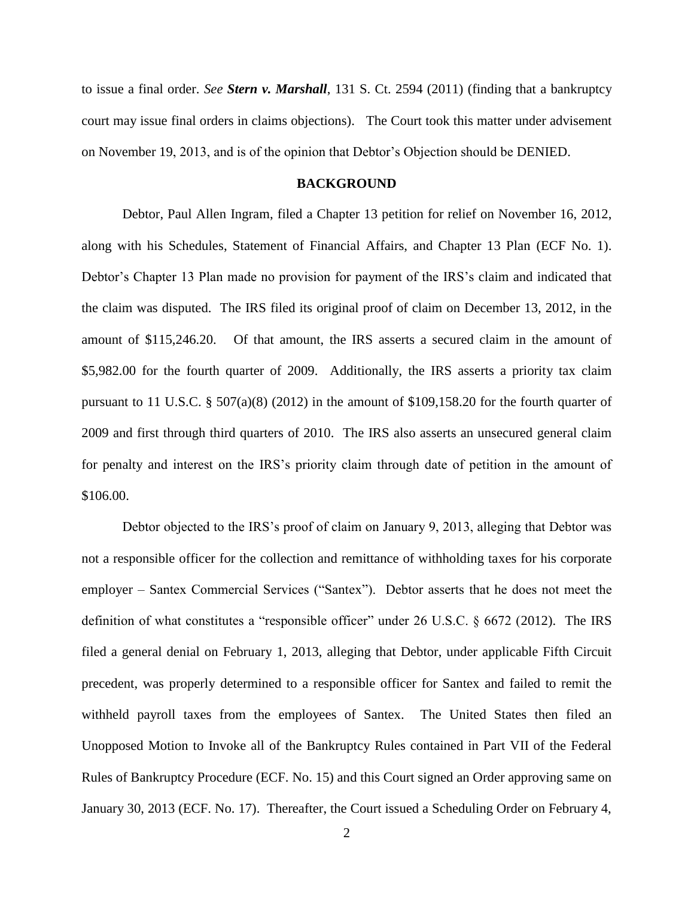to issue a final order. *See Stern v. Marshall*, 131 S. Ct. 2594 (2011) (finding that a bankruptcy court may issue final orders in claims objections). The Court took this matter under advisement on November 19, 2013, and is of the opinion that Debtor's Objection should be DENIED.

### **BACKGROUND**

 Debtor, Paul Allen Ingram, filed a Chapter 13 petition for relief on November 16, 2012, along with his Schedules, Statement of Financial Affairs, and Chapter 13 Plan (ECF No. 1). Debtor's Chapter 13 Plan made no provision for payment of the IRS's claim and indicated that the claim was disputed. The IRS filed its original proof of claim on December 13, 2012, in the amount of \$115,246.20. Of that amount, the IRS asserts a secured claim in the amount of \$5,982.00 for the fourth quarter of 2009. Additionally, the IRS asserts a priority tax claim pursuant to 11 U.S.C. § 507(a)(8) (2012) in the amount of \$109,158.20 for the fourth quarter of 2009 and first through third quarters of 2010. The IRS also asserts an unsecured general claim for penalty and interest on the IRS's priority claim through date of petition in the amount of \$106.00.

Debtor objected to the IRS's proof of claim on January 9, 2013, alleging that Debtor was not a responsible officer for the collection and remittance of withholding taxes for his corporate employer – Santex Commercial Services ("Santex"). Debtor asserts that he does not meet the definition of what constitutes a "responsible officer" under 26 U.S.C. § 6672 (2012). The IRS filed a general denial on February 1, 2013, alleging that Debtor, under applicable Fifth Circuit precedent, was properly determined to a responsible officer for Santex and failed to remit the withheld payroll taxes from the employees of Santex. The United States then filed an Unopposed Motion to Invoke all of the Bankruptcy Rules contained in Part VII of the Federal Rules of Bankruptcy Procedure (ECF. No. 15) and this Court signed an Order approving same on January 30, 2013 (ECF. No. 17). Thereafter, the Court issued a Scheduling Order on February 4,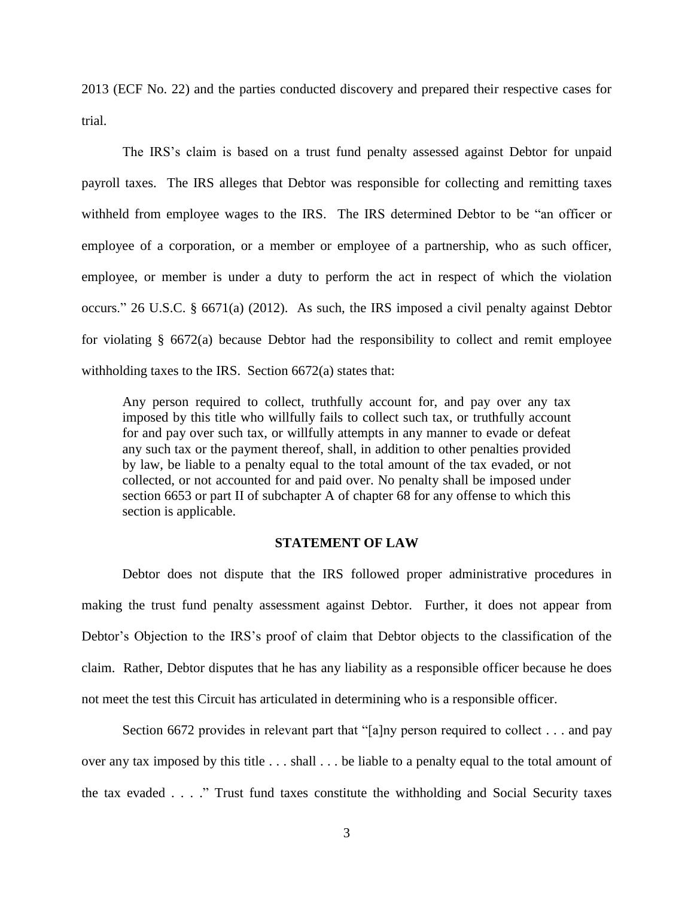2013 (ECF No. 22) and the parties conducted discovery and prepared their respective cases for trial.

The IRS's claim is based on a trust fund penalty assessed against Debtor for unpaid payroll taxes. The IRS alleges that Debtor was responsible for collecting and remitting taxes withheld from employee wages to the IRS. The IRS determined Debtor to be "an officer or employee of a corporation, or a member or employee of a partnership, who as such officer, employee, or member is under a duty to perform the act in respect of which the violation occurs." 26 U.S.C. § 6671(a) (2012). As such, the IRS imposed a civil penalty against Debtor for violating § 6672(a) because Debtor had the responsibility to collect and remit employee withholding taxes to the IRS. Section 6672(a) states that:

Any person required to collect, truthfully account for, and pay over any tax imposed by this title who willfully fails to collect such tax, or truthfully account for and pay over such tax, or willfully attempts in any manner to evade or defeat any such tax or the payment thereof, shall, in addition to other penalties provided by law, be liable to a penalty equal to the total amount of the tax evaded, or not collected, or not accounted for and paid over. No penalty shall be imposed under section 6653 or part II of subchapter A of chapter 68 for any offense to which this section is applicable.

# **STATEMENT OF LAW**

 Debtor does not dispute that the IRS followed proper administrative procedures in making the trust fund penalty assessment against Debtor. Further, it does not appear from Debtor's Objection to the IRS's proof of claim that Debtor objects to the classification of the claim. Rather, Debtor disputes that he has any liability as a responsible officer because he does not meet the test this Circuit has articulated in determining who is a responsible officer.

Section 6672 provides in relevant part that "[a]ny person required to collect . . . and pay over any tax imposed by this title . . . shall . . . be liable to a penalty equal to the total amount of the tax evaded . . . ." Trust fund taxes constitute the withholding and Social Security taxes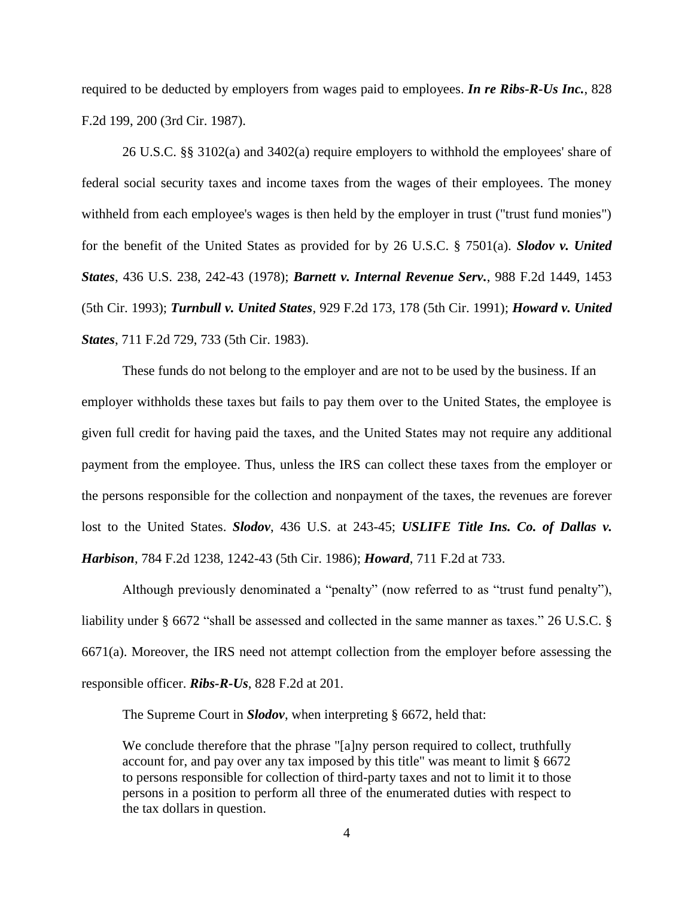required to be deducted by employers from wages paid to employees. *In re Ribs-R-Us Inc.*, 828 F.2d 199, 200 (3rd Cir. 1987).

26 U.S.C. §§ 3102(a) and 3402(a) require employers to withhold the employees' share of federal social security taxes and income taxes from the wages of their employees. The money withheld from each employee's wages is then held by the employer in trust ("trust fund monies") for the benefit of the United States as provided for by 26 U.S.C. § 7501(a). *Slodov v. United States*, 436 U.S. 238, 242-43 (1978); *Barnett v. Internal Revenue Serv.*, 988 F.2d 1449, 1453 (5th Cir. 1993); *Turnbull v. United States*, 929 F.2d 173, 178 (5th Cir. 1991); *Howard v. United States*, 711 F.2d 729, 733 (5th Cir. 1983).

These funds do not belong to the employer and are not to be used by the business. If an employer withholds these taxes but fails to pay them over to the United States, the employee is given full credit for having paid the taxes, and the United States may not require any additional payment from the employee. Thus, unless the IRS can collect these taxes from the employer or the persons responsible for the collection and nonpayment of the taxes, the revenues are forever lost to the United States. *Slodov*, 436 U.S. at 243-45; *USLIFE Title Ins. Co. of Dallas v. Harbison*, 784 F.2d 1238, 1242-43 (5th Cir. 1986); *Howard*, 711 F.2d at 733.

Although previously denominated a "penalty" (now referred to as "trust fund penalty"), liability under § 6672 "shall be assessed and collected in the same manner as taxes." 26 U.S.C. § 6671(a). Moreover, the IRS need not attempt collection from the employer before assessing the responsible officer. *Ribs-R-Us*, 828 F.2d at 201.

The Supreme Court in *Slodov*, when interpreting § 6672, held that:

We conclude therefore that the phrase "[a]ny person required to collect, truthfully account for, and pay over any tax imposed by this title" was meant to limit § 6672 to persons responsible for collection of third-party taxes and not to limit it to those persons in a position to perform all three of the enumerated duties with respect to the tax dollars in question.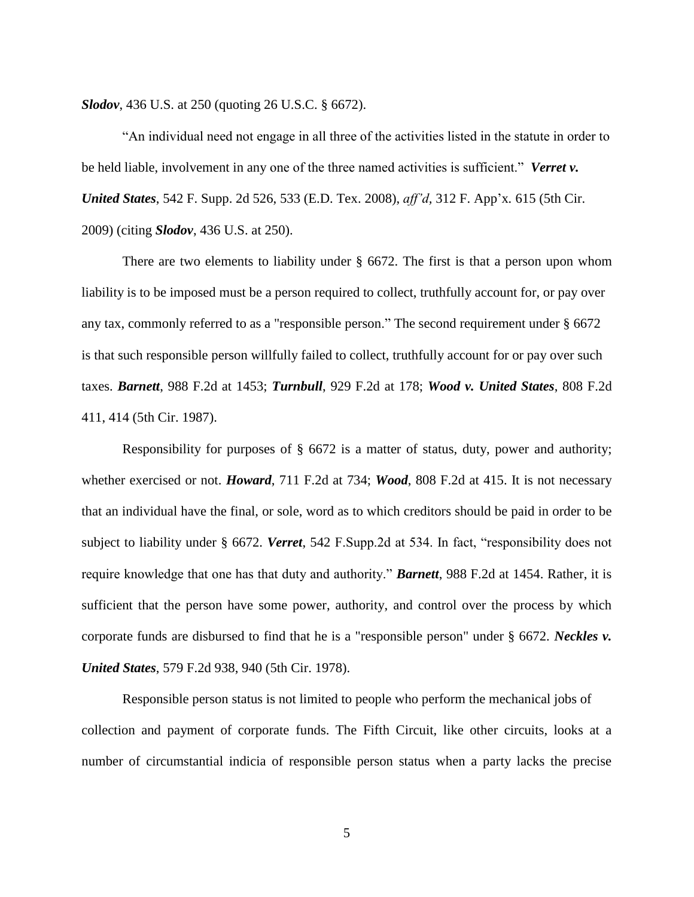*Slodov*, 436 U.S. at 250 (quoting 26 U.S.C. § 6672).

"An individual need not engage in all three of the activities listed in the statute in order to be held liable, involvement in any one of the three named activities is sufficient." *Verret v. United States*, 542 F. Supp. 2d 526, 533 (E.D. Tex. 2008), *aff'd,* 312 F. App'x*.* 615 (5th Cir. 2009) (citing *Slodov*, 436 U.S. at 250).

There are two elements to liability under § 6672. The first is that a person upon whom liability is to be imposed must be a person required to collect, truthfully account for, or pay over any tax, commonly referred to as a "responsible person." The second requirement under § 6672 is that such responsible person willfully failed to collect, truthfully account for or pay over such taxes. *Barnett*, 988 F.2d at 1453; *Turnbull*, 929 F.2d at 178; *Wood v. United States*, 808 F.2d 411, 414 (5th Cir. 1987).

Responsibility for purposes of  $\S$  6672 is a matter of status, duty, power and authority; whether exercised or not. *Howard*, 711 F.2d at 734; *Wood*, 808 F.2d at 415. It is not necessary that an individual have the final, or sole, word as to which creditors should be paid in order to be subject to liability under § 6672. *Verret*, 542 F.Supp.2d at 534. In fact, "responsibility does not require knowledge that one has that duty and authority." *Barnett*, 988 F.2d at 1454. Rather, it is sufficient that the person have some power, authority, and control over the process by which corporate funds are disbursed to find that he is a "responsible person" under § 6672. *Neckles v. United States*, 579 F.2d 938, 940 (5th Cir. 1978).

Responsible person status is not limited to people who perform the mechanical jobs of collection and payment of corporate funds. The Fifth Circuit, like other circuits, looks at a number of circumstantial indicia of responsible person status when a party lacks the precise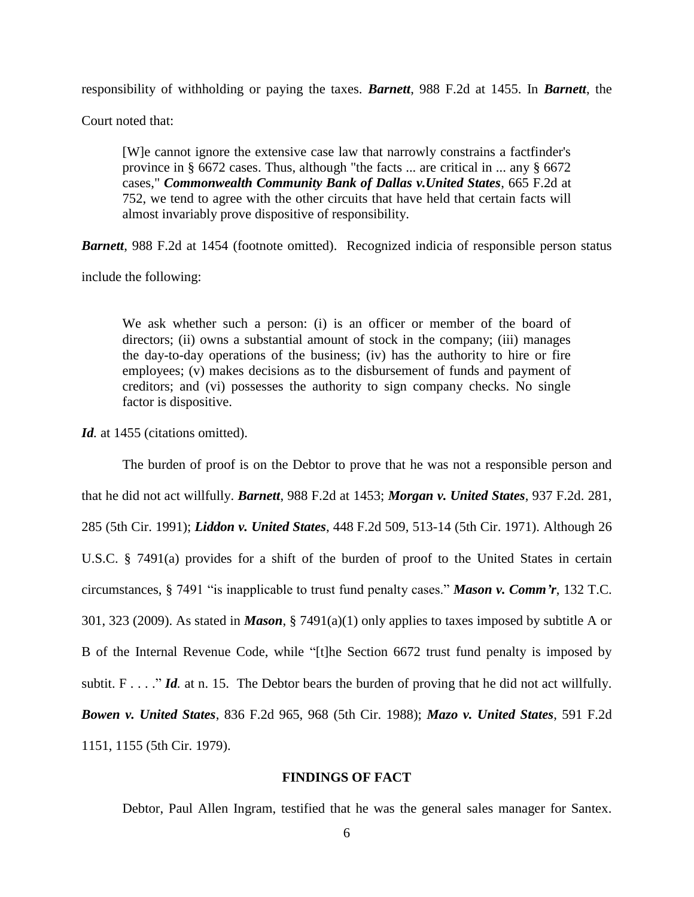responsibility of withholding or paying the taxes. *Barnett*, 988 F.2d at 1455. In *Barnett*, the

Court noted that:

[W]e cannot ignore the extensive case law that narrowly constrains a factfinder's province in § 6672 cases. Thus, although "the facts ... are critical in ... any § 6672 cases," *Commonwealth Community Bank of Dallas v.United States*, 665 F.2d at 752, we tend to agree with the other circuits that have held that certain facts will almost invariably prove dispositive of responsibility.

*Barnett*, 988 F.2d at 1454 (footnote omitted). Recognized indicia of responsible person status

include the following:

We ask whether such a person: (i) is an officer or member of the board of directors; (ii) owns a substantial amount of stock in the company; (iii) manages the day-to-day operations of the business; (iv) has the authority to hire or fire employees; (v) makes decisions as to the disbursement of funds and payment of creditors; and (vi) possesses the authority to sign company checks. No single factor is dispositive.

Id. at 1455 (citations omitted).

The burden of proof is on the Debtor to prove that he was not a responsible person and that he did not act willfully. *Barnett*, 988 F.2d at 1453; *Morgan v. United States*, 937 F.2d. 281, 285 (5th Cir. 1991); *Liddon v. United States*, 448 F.2d 509, 513-14 (5th Cir. 1971). Although 26 U.S.C. § 7491(a) provides for a shift of the burden of proof to the United States in certain circumstances, § 7491 "is inapplicable to trust fund penalty cases." *Mason v. Comm'r*, 132 T.C. 301, 323 (2009). As stated in *Mason*, § 7491(a)(1) only applies to taxes imposed by subtitle A or B of the Internal Revenue Code, while "[t]he Section 6672 trust fund penalty is imposed by subtit. F . . . ." *Id.* at n. 15. The Debtor bears the burden of proving that he did not act willfully. *Bowen v. United States*, 836 F.2d 965, 968 (5th Cir. 1988); *Mazo v. United States*, 591 F.2d 1151, 1155 (5th Cir. 1979).

#### **FINDINGS OF FACT**

Debtor, Paul Allen Ingram, testified that he was the general sales manager for Santex.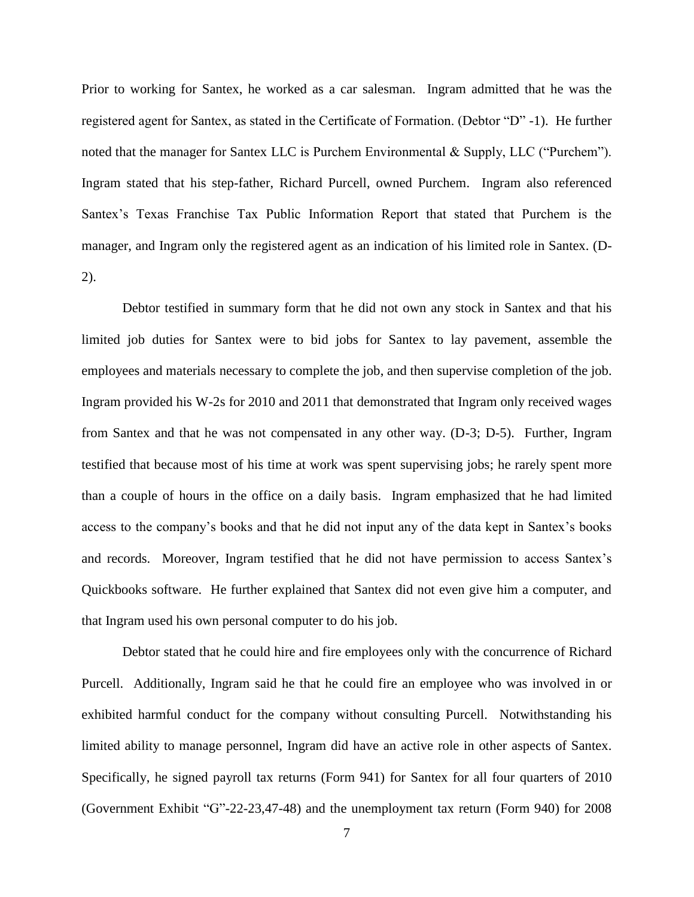Prior to working for Santex, he worked as a car salesman. Ingram admitted that he was the registered agent for Santex, as stated in the Certificate of Formation. (Debtor "D" -1). He further noted that the manager for Santex LLC is Purchem Environmental & Supply, LLC ("Purchem"). Ingram stated that his step-father, Richard Purcell, owned Purchem. Ingram also referenced Santex's Texas Franchise Tax Public Information Report that stated that Purchem is the manager, and Ingram only the registered agent as an indication of his limited role in Santex. (D-2).

 Debtor testified in summary form that he did not own any stock in Santex and that his limited job duties for Santex were to bid jobs for Santex to lay pavement, assemble the employees and materials necessary to complete the job, and then supervise completion of the job. Ingram provided his W-2s for 2010 and 2011 that demonstrated that Ingram only received wages from Santex and that he was not compensated in any other way. (D-3; D-5). Further, Ingram testified that because most of his time at work was spent supervising jobs; he rarely spent more than a couple of hours in the office on a daily basis. Ingram emphasized that he had limited access to the company's books and that he did not input any of the data kept in Santex's books and records. Moreover, Ingram testified that he did not have permission to access Santex's Quickbooks software. He further explained that Santex did not even give him a computer, and that Ingram used his own personal computer to do his job.

 Debtor stated that he could hire and fire employees only with the concurrence of Richard Purcell. Additionally, Ingram said he that he could fire an employee who was involved in or exhibited harmful conduct for the company without consulting Purcell. Notwithstanding his limited ability to manage personnel, Ingram did have an active role in other aspects of Santex. Specifically, he signed payroll tax returns (Form 941) for Santex for all four quarters of 2010 (Government Exhibit "G"-22-23,47-48) and the unemployment tax return (Form 940) for 2008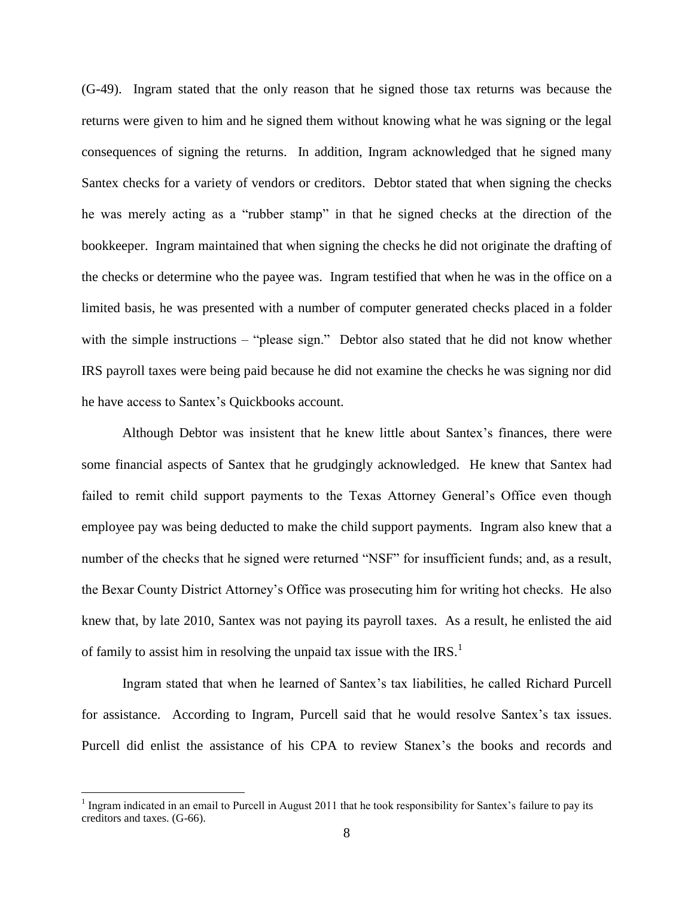(G-49). Ingram stated that the only reason that he signed those tax returns was because the returns were given to him and he signed them without knowing what he was signing or the legal consequences of signing the returns. In addition, Ingram acknowledged that he signed many Santex checks for a variety of vendors or creditors. Debtor stated that when signing the checks he was merely acting as a "rubber stamp" in that he signed checks at the direction of the bookkeeper. Ingram maintained that when signing the checks he did not originate the drafting of the checks or determine who the payee was. Ingram testified that when he was in the office on a limited basis, he was presented with a number of computer generated checks placed in a folder with the simple instructions – "please sign." Debtor also stated that he did not know whether IRS payroll taxes were being paid because he did not examine the checks he was signing nor did he have access to Santex's Quickbooks account.

 Although Debtor was insistent that he knew little about Santex's finances, there were some financial aspects of Santex that he grudgingly acknowledged. He knew that Santex had failed to remit child support payments to the Texas Attorney General's Office even though employee pay was being deducted to make the child support payments. Ingram also knew that a number of the checks that he signed were returned "NSF" for insufficient funds; and, as a result, the Bexar County District Attorney's Office was prosecuting him for writing hot checks. He also knew that, by late 2010, Santex was not paying its payroll taxes. As a result, he enlisted the aid of family to assist him in resolving the unpaid tax issue with the  $IRS<sup>1</sup>$ .

Ingram stated that when he learned of Santex's tax liabilities, he called Richard Purcell for assistance. According to Ingram, Purcell said that he would resolve Santex's tax issues. Purcell did enlist the assistance of his CPA to review Stanex's the books and records and

 $\overline{a}$ 

<sup>&</sup>lt;sup>1</sup> Ingram indicated in an email to Purcell in August 2011 that he took responsibility for Santex's failure to pay its creditors and taxes. (G-66).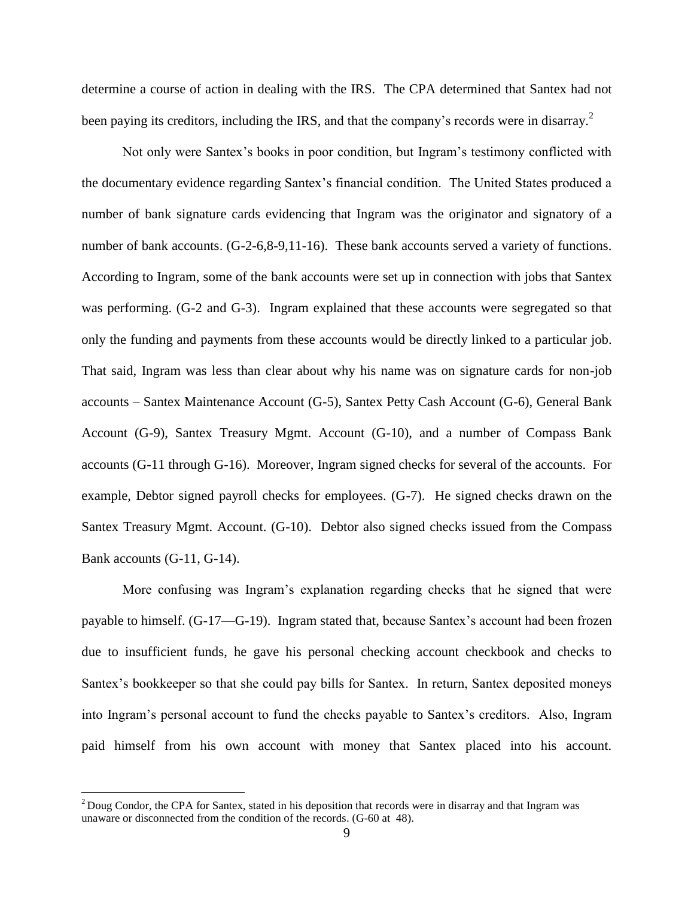determine a course of action in dealing with the IRS. The CPA determined that Santex had not been paying its creditors, including the IRS, and that the company's records were in disarray.<sup>2</sup>

Not only were Santex's books in poor condition, but Ingram's testimony conflicted with the documentary evidence regarding Santex's financial condition. The United States produced a number of bank signature cards evidencing that Ingram was the originator and signatory of a number of bank accounts. (G-2-6,8-9,11-16). These bank accounts served a variety of functions. According to Ingram, some of the bank accounts were set up in connection with jobs that Santex was performing. (G-2 and G-3). Ingram explained that these accounts were segregated so that only the funding and payments from these accounts would be directly linked to a particular job. That said, Ingram was less than clear about why his name was on signature cards for non-job accounts – Santex Maintenance Account (G-5), Santex Petty Cash Account (G-6), General Bank Account (G-9), Santex Treasury Mgmt. Account (G-10), and a number of Compass Bank accounts (G-11 through G-16). Moreover, Ingram signed checks for several of the accounts. For example, Debtor signed payroll checks for employees. (G-7). He signed checks drawn on the Santex Treasury Mgmt. Account. (G-10). Debtor also signed checks issued from the Compass Bank accounts (G-11, G-14).

More confusing was Ingram's explanation regarding checks that he signed that were payable to himself. (G-17—G-19). Ingram stated that, because Santex's account had been frozen due to insufficient funds, he gave his personal checking account checkbook and checks to Santex's bookkeeper so that she could pay bills for Santex. In return, Santex deposited moneys into Ingram's personal account to fund the checks payable to Santex's creditors. Also, Ingram paid himself from his own account with money that Santex placed into his account.

 $\overline{a}$ 

<sup>&</sup>lt;sup>2</sup> Doug Condor, the CPA for Santex, stated in his deposition that records were in disarray and that Ingram was unaware or disconnected from the condition of the records. (G-60 at 48).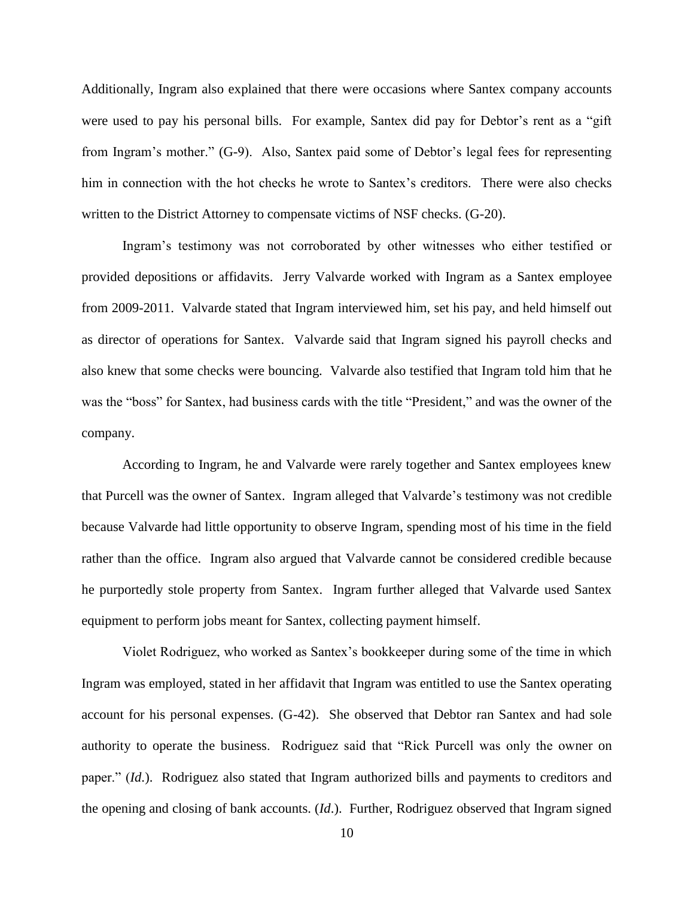Additionally, Ingram also explained that there were occasions where Santex company accounts were used to pay his personal bills. For example, Santex did pay for Debtor's rent as a "gift from Ingram's mother." (G-9). Also, Santex paid some of Debtor's legal fees for representing him in connection with the hot checks he wrote to Santex's creditors. There were also checks written to the District Attorney to compensate victims of NSF checks. (G-20).

Ingram's testimony was not corroborated by other witnesses who either testified or provided depositions or affidavits. Jerry Valvarde worked with Ingram as a Santex employee from 2009-2011. Valvarde stated that Ingram interviewed him, set his pay, and held himself out as director of operations for Santex. Valvarde said that Ingram signed his payroll checks and also knew that some checks were bouncing. Valvarde also testified that Ingram told him that he was the "boss" for Santex, had business cards with the title "President," and was the owner of the company.

 According to Ingram, he and Valvarde were rarely together and Santex employees knew that Purcell was the owner of Santex. Ingram alleged that Valvarde's testimony was not credible because Valvarde had little opportunity to observe Ingram, spending most of his time in the field rather than the office. Ingram also argued that Valvarde cannot be considered credible because he purportedly stole property from Santex. Ingram further alleged that Valvarde used Santex equipment to perform jobs meant for Santex, collecting payment himself.

Violet Rodriguez, who worked as Santex's bookkeeper during some of the time in which Ingram was employed, stated in her affidavit that Ingram was entitled to use the Santex operating account for his personal expenses. (G-42). She observed that Debtor ran Santex and had sole authority to operate the business. Rodriguez said that "Rick Purcell was only the owner on paper." (*Id*.). Rodriguez also stated that Ingram authorized bills and payments to creditors and the opening and closing of bank accounts. (*Id*.). Further, Rodriguez observed that Ingram signed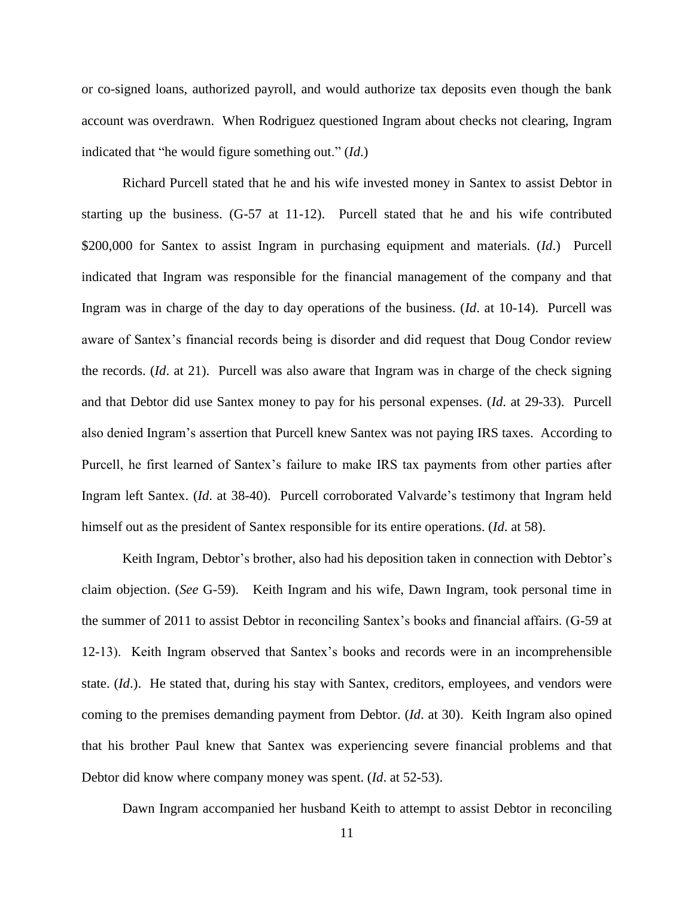or co-signed loans, authorized payroll, and would authorize tax deposits even though the bank account was overdrawn. When Rodriguez questioned Ingram about checks not clearing, Ingram indicated that "he would figure something out." (*Id*.)

 Richard Purcell stated that he and his wife invested money in Santex to assist Debtor in starting up the business. (G-57 at 11-12). Purcell stated that he and his wife contributed \$200,000 for Santex to assist Ingram in purchasing equipment and materials. (*Id*.) Purcell indicated that Ingram was responsible for the financial management of the company and that Ingram was in charge of the day to day operations of the business. (*Id*. at 10-14). Purcell was aware of Santex's financial records being is disorder and did request that Doug Condor review the records. (*Id*. at 21). Purcell was also aware that Ingram was in charge of the check signing and that Debtor did use Santex money to pay for his personal expenses. (*Id*. at 29-33). Purcell also denied Ingram's assertion that Purcell knew Santex was not paying IRS taxes. According to Purcell, he first learned of Santex's failure to make IRS tax payments from other parties after Ingram left Santex. (*Id*. at 38-40). Purcell corroborated Valvarde's testimony that Ingram held himself out as the president of Santex responsible for its entire operations. (*Id*. at 58).

 Keith Ingram, Debtor's brother, also had his deposition taken in connection with Debtor's claim objection. (*See* G-59). Keith Ingram and his wife, Dawn Ingram, took personal time in the summer of 2011 to assist Debtor in reconciling Santex's books and financial affairs. (G-59 at 12-13). Keith Ingram observed that Santex's books and records were in an incomprehensible state. (*Id*.). He stated that, during his stay with Santex, creditors, employees, and vendors were coming to the premises demanding payment from Debtor. (*Id*. at 30). Keith Ingram also opined that his brother Paul knew that Santex was experiencing severe financial problems and that Debtor did know where company money was spent. (*Id*. at 52-53).

Dawn Ingram accompanied her husband Keith to attempt to assist Debtor in reconciling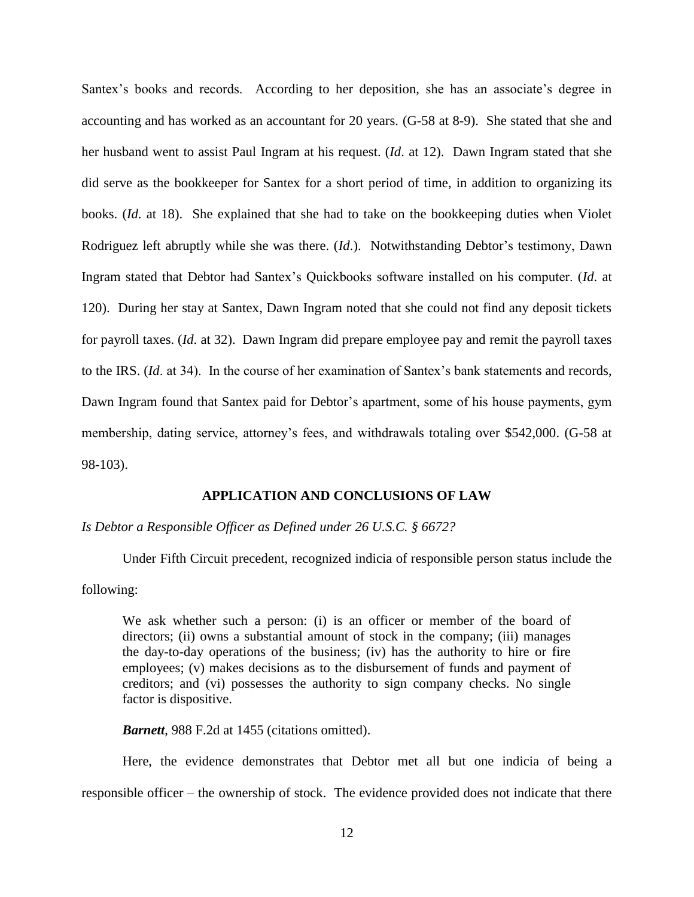Santex's books and records. According to her deposition, she has an associate's degree in accounting and has worked as an accountant for 20 years. (G-58 at 8-9). She stated that she and her husband went to assist Paul Ingram at his request. (*Id*. at 12). Dawn Ingram stated that she did serve as the bookkeeper for Santex for a short period of time, in addition to organizing its books. (*Id*. at 18). She explained that she had to take on the bookkeeping duties when Violet Rodriguez left abruptly while she was there. (*Id*.). Notwithstanding Debtor's testimony, Dawn Ingram stated that Debtor had Santex's Quickbooks software installed on his computer. (*Id*. at 120). During her stay at Santex, Dawn Ingram noted that she could not find any deposit tickets for payroll taxes. (*Id*. at 32). Dawn Ingram did prepare employee pay and remit the payroll taxes to the IRS. (*Id*. at 34). In the course of her examination of Santex's bank statements and records, Dawn Ingram found that Santex paid for Debtor's apartment, some of his house payments, gym membership, dating service, attorney's fees, and withdrawals totaling over \$542,000. (G-58 at 98-103).

## **APPLICATION AND CONCLUSIONS OF LAW**

*Is Debtor a Responsible Officer as Defined under 26 U.S.C. § 6672?* 

Under Fifth Circuit precedent, recognized indicia of responsible person status include the following:

We ask whether such a person: (i) is an officer or member of the board of directors; (ii) owns a substantial amount of stock in the company; (iii) manages the day-to-day operations of the business; (iv) has the authority to hire or fire employees; (v) makes decisions as to the disbursement of funds and payment of creditors; and (vi) possesses the authority to sign company checks. No single factor is dispositive.

*Barnett*, 988 F.2d at 1455 (citations omitted).

Here, the evidence demonstrates that Debtor met all but one indicia of being a responsible officer – the ownership of stock. The evidence provided does not indicate that there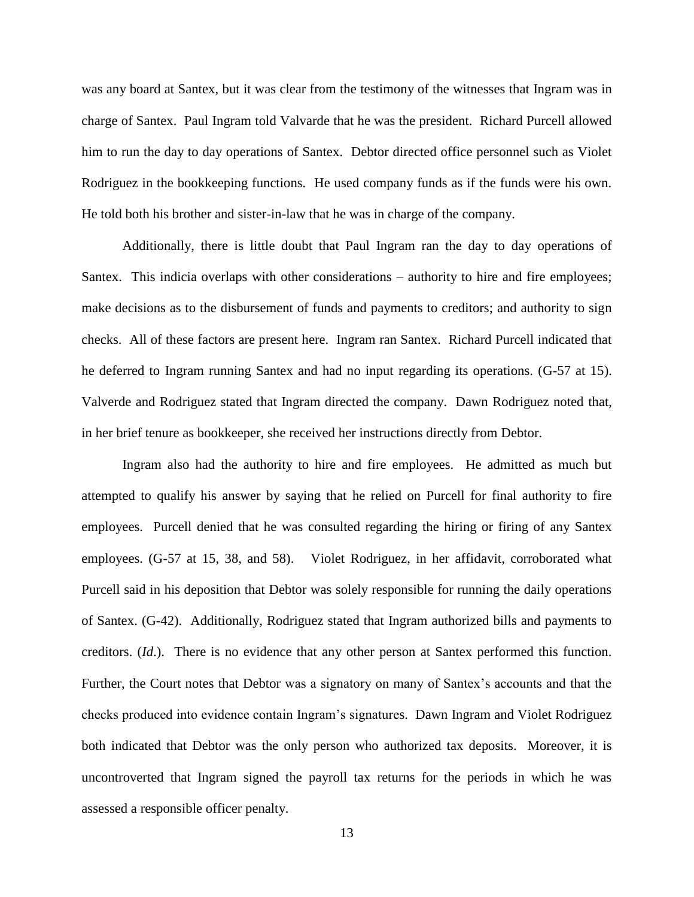was any board at Santex, but it was clear from the testimony of the witnesses that Ingram was in charge of Santex. Paul Ingram told Valvarde that he was the president. Richard Purcell allowed him to run the day to day operations of Santex. Debtor directed office personnel such as Violet Rodriguez in the bookkeeping functions. He used company funds as if the funds were his own. He told both his brother and sister-in-law that he was in charge of the company.

Additionally, there is little doubt that Paul Ingram ran the day to day operations of Santex. This indicia overlaps with other considerations – authority to hire and fire employees; make decisions as to the disbursement of funds and payments to creditors; and authority to sign checks. All of these factors are present here. Ingram ran Santex. Richard Purcell indicated that he deferred to Ingram running Santex and had no input regarding its operations. (G-57 at 15). Valverde and Rodriguez stated that Ingram directed the company. Dawn Rodriguez noted that, in her brief tenure as bookkeeper, she received her instructions directly from Debtor.

Ingram also had the authority to hire and fire employees. He admitted as much but attempted to qualify his answer by saying that he relied on Purcell for final authority to fire employees. Purcell denied that he was consulted regarding the hiring or firing of any Santex employees. (G-57 at 15, 38, and 58). Violet Rodriguez, in her affidavit, corroborated what Purcell said in his deposition that Debtor was solely responsible for running the daily operations of Santex. (G-42). Additionally, Rodriguez stated that Ingram authorized bills and payments to creditors. (*Id*.). There is no evidence that any other person at Santex performed this function. Further, the Court notes that Debtor was a signatory on many of Santex's accounts and that the checks produced into evidence contain Ingram's signatures. Dawn Ingram and Violet Rodriguez both indicated that Debtor was the only person who authorized tax deposits. Moreover, it is uncontroverted that Ingram signed the payroll tax returns for the periods in which he was assessed a responsible officer penalty.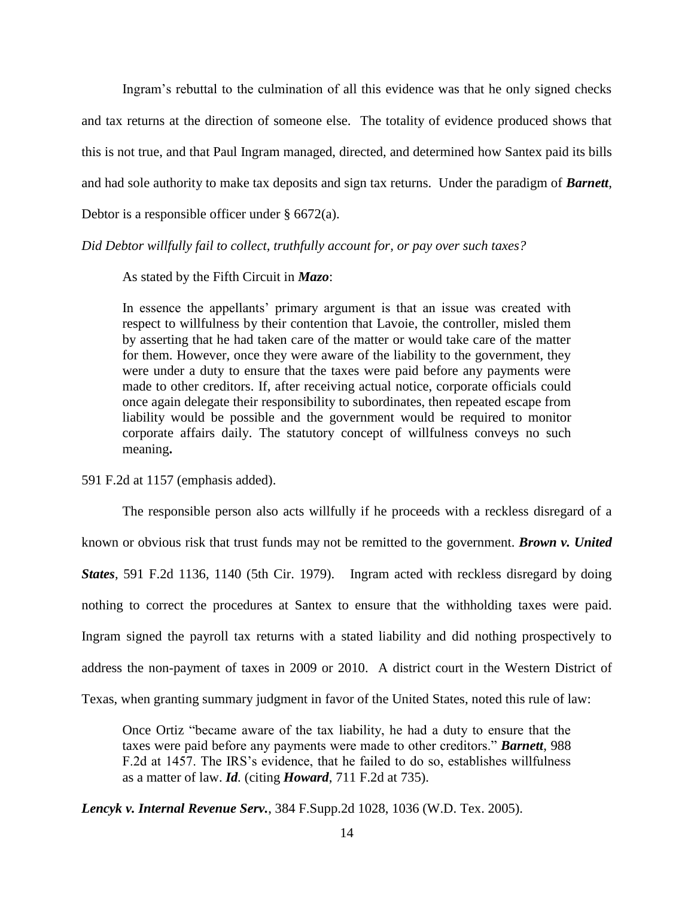Ingram's rebuttal to the culmination of all this evidence was that he only signed checks and tax returns at the direction of someone else. The totality of evidence produced shows that this is not true, and that Paul Ingram managed, directed, and determined how Santex paid its bills and had sole authority to make tax deposits and sign tax returns. Under the paradigm of *Barnett*, Debtor is a responsible officer under  $\S$  6672(a).

## *Did Debtor willfully fail to collect, truthfully account for, or pay over such taxes?*

As stated by the Fifth Circuit in *Mazo*:

In essence the appellants' primary argument is that an issue was created with respect to willfulness by their contention that Lavoie, the controller, misled them by asserting that he had taken care of the matter or would take care of the matter for them. However, once they were aware of the liability to the government, they were under a duty to ensure that the taxes were paid before any payments were made to other creditors. If, after receiving actual notice, corporate officials could once again delegate their responsibility to subordinates, then repeated escape from liability would be possible and the government would be required to monitor corporate affairs daily. The statutory concept of willfulness conveys no such meaning**.**

591 F.2d at 1157 (emphasis added).

The responsible person also acts willfully if he proceeds with a reckless disregard of a known or obvious risk that trust funds may not be remitted to the government. *Brown v. United States*, 591 F.2d 1136, 1140 (5th Cir. 1979). Ingram acted with reckless disregard by doing nothing to correct the procedures at Santex to ensure that the withholding taxes were paid. Ingram signed the payroll tax returns with a stated liability and did nothing prospectively to address the non-payment of taxes in 2009 or 2010. A district court in the Western District of Texas, when granting summary judgment in favor of the United States, noted this rule of law:

Once Ortiz "became aware of the tax liability, he had a duty to ensure that the taxes were paid before any payments were made to other creditors." *Barnett*, 988 F.2d at 1457. The IRS's evidence, that he failed to do so, establishes willfulness as a matter of law. *Id.* (citing *Howard*, 711 F.2d at 735).

*Lencyk v. Internal Revenue Serv.*, 384 F.Supp.2d 1028, 1036 (W.D. Tex. 2005).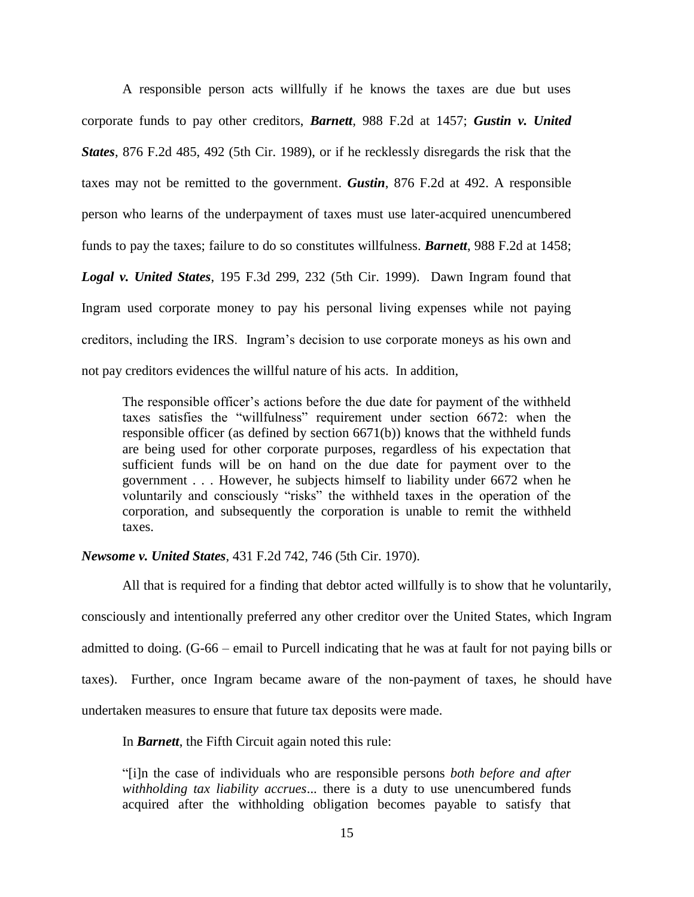A responsible person acts willfully if he knows the taxes are due but uses corporate funds to pay other creditors, *Barnett,* 988 F.2d at 1457; *Gustin v. United States*, 876 F.2d 485, 492 (5th Cir. 1989), or if he recklessly disregards the risk that the taxes may not be remitted to the government. *Gustin*, 876 F.2d at 492. A responsible person who learns of the underpayment of taxes must use later-acquired unencumbered funds to pay the taxes; failure to do so constitutes willfulness. *Barnett*, 988 F.2d at 1458; *Logal v. United States*, 195 F.3d 299, 232 (5th Cir. 1999). Dawn Ingram found that Ingram used corporate money to pay his personal living expenses while not paying creditors, including the IRS. Ingram's decision to use corporate moneys as his own and not pay creditors evidences the willful nature of his acts. In addition,

The responsible officer's actions before the due date for payment of the withheld taxes satisfies the "willfulness" requirement under section 6672: when the responsible officer (as defined by section 6671(b)) knows that the withheld funds are being used for other corporate purposes, regardless of his expectation that sufficient funds will be on hand on the due date for payment over to the government . . . However, he subjects himself to liability under 6672 when he voluntarily and consciously "risks" the withheld taxes in the operation of the corporation, and subsequently the corporation is unable to remit the withheld taxes.

### *Newsome v. United States*, 431 F.2d 742, 746 (5th Cir. 1970).

All that is required for a finding that debtor acted willfully is to show that he voluntarily, consciously and intentionally preferred any other creditor over the United States, which Ingram admitted to doing. (G-66 – email to Purcell indicating that he was at fault for not paying bills or taxes). Further, once Ingram became aware of the non-payment of taxes, he should have undertaken measures to ensure that future tax deposits were made.

In *Barnett*, the Fifth Circuit again noted this rule:

"[i]n the case of individuals who are responsible persons *both before and after withholding tax liability accrues*... there is a duty to use unencumbered funds acquired after the withholding obligation becomes payable to satisfy that